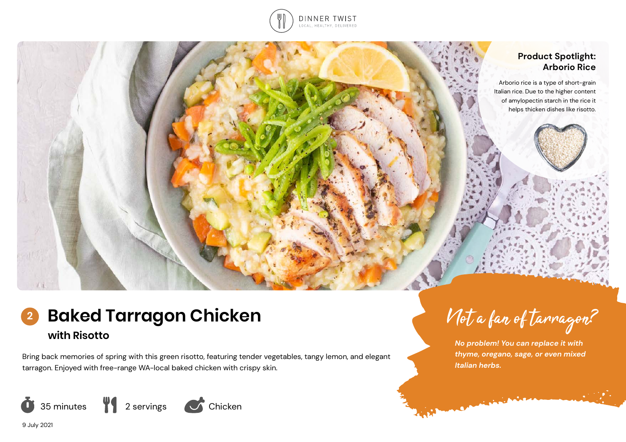

## **Product Spotlight: Arborio Rice**

Arborio rice is a type of short-grain Italian rice. Due to the higher content of amylopectin starch in the rice it helps thicken dishes like risotto.



Bring back memories of spring with this green risotto, featuring tender vegetables, tangy lemon, and elegant tarragon. Enjoyed with free-range WA-local baked chicken with crispy skin.



Not a fan of tarragon?

*No problem! You can replace it with thyme, oregano, sage, or even mixed Italian herbs.* 

**Commission Commission**